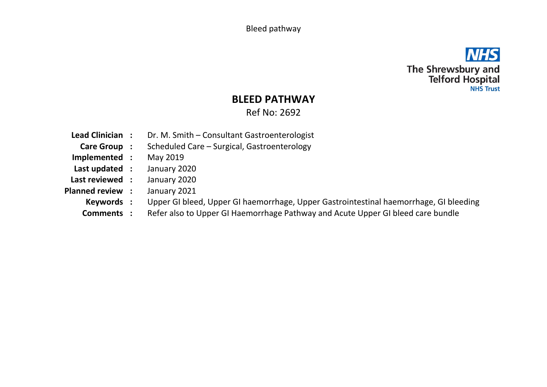Bleed pathway



## **BLEED PATHWAY**

Ref No: 2692

**Lead Clinician :** Dr. M. Smith – Consultant Gastroenterologist **Care Group :** Scheduled Care – Surgical, Gastroenterology **Implemented :** May 2019 **Last updated :** January 2020 **Last reviewed :** January 2020 **Planned review :** January 2021 **Keywords :** Upper GI bleed, Upper GI haemorrhage, Upper Gastrointestinal haemorrhage, GI bleeding **Comments :** Refer also to Upper GI Haemorrhage Pathway and Acute Upper GI bleed care bundle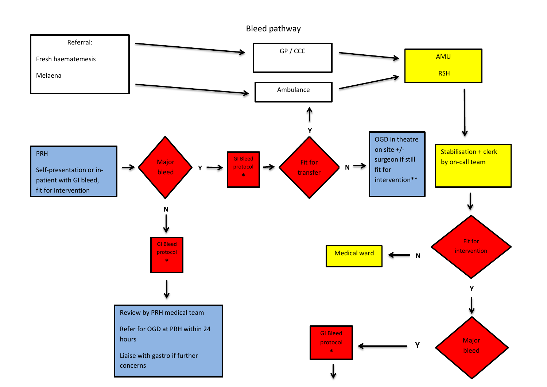